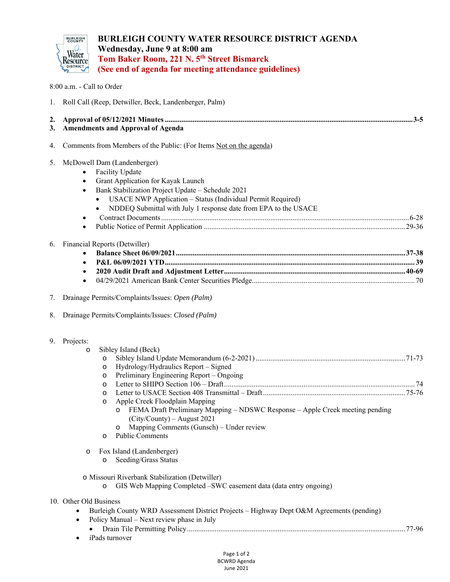

## **BURLEIGH COUNTY WATER RESOURCE DISTRICT AGENDA Wednesday, June 9 at 8:00 am Tom Baker Room, 221 N. 5th Street Bismarck (See end of agenda for meeting attendance guidelines)**

8:00 a.m. - Call to Order

| 1.       | Roll Call (Reep, Detwiller, Beck, Landenberger, Palm)                                                                                                                                                                                                                                                                                                                                                                             |  |  |
|----------|-----------------------------------------------------------------------------------------------------------------------------------------------------------------------------------------------------------------------------------------------------------------------------------------------------------------------------------------------------------------------------------------------------------------------------------|--|--|
| 2.<br>3. | <b>Amendments and Approval of Agenda</b>                                                                                                                                                                                                                                                                                                                                                                                          |  |  |
| 4.       | Comments from Members of the Public: (For Items Not on the agenda)                                                                                                                                                                                                                                                                                                                                                                |  |  |
| 5.       | McDowell Dam (Landenberger)<br>Facility Update<br>$\bullet$<br>Grant Application for Kayak Launch<br>$\bullet$<br>Bank Stabilization Project Update - Schedule 2021<br>$\bullet$<br><b>USACE NWP Application - Status (Individual Permit Required)</b><br>NDDEQ Submittal with July 1 response date from EPA to the USACE<br>٠<br>$\bullet$                                                                                       |  |  |
| 6.       | Financial Reports (Detwiller)<br>$\bullet$<br>٠<br>$\bullet$                                                                                                                                                                                                                                                                                                                                                                      |  |  |
| 7.       | Drainage Permits/Complaints/Issues: Open (Palm)                                                                                                                                                                                                                                                                                                                                                                                   |  |  |
| 8.       | Drainage Permits/Complaints/Issues: Closed (Palm)                                                                                                                                                                                                                                                                                                                                                                                 |  |  |
| 9.       | Projects:<br>Sibley Island (Beck)<br>$\circ$<br>$\circ$<br>Hydrology/Hydraulics Report - Signed<br>$\circ$<br>Preliminary Engineering Report - Ongoing<br>O<br>$\circ$<br>O<br>Apple Creek Floodplain Mapping<br>$\circ$<br>FEMA Draft Preliminary Mapping – NDSWC Response – Apple Creek meeting pending<br>$(City/Country) - August 2021$<br>Mapping Comments (Gunsch) - Under review<br>O<br><b>Public Comments</b><br>$\circ$ |  |  |
|          | Fox Island (Landenberger)<br>$\circ$<br>Seeding/Grass Status<br>$\circ$                                                                                                                                                                                                                                                                                                                                                           |  |  |
|          | o Missouri Riverbank Stabilization (Detwiller)<br>GIS Web Mapping Completed -SWC easement data (data entry ongoing)<br>$\circ$                                                                                                                                                                                                                                                                                                    |  |  |
|          | 10. Other Old Business<br>Burleigh County WRD Assessment District Projects - Highway Dept O&M Agreements (pending)<br>Policy Manual - Next review phase in July<br>٠                                                                                                                                                                                                                                                              |  |  |

- Drain Tile Permitting Policy ...................................................................................................................... 77-96
- iPads turnover